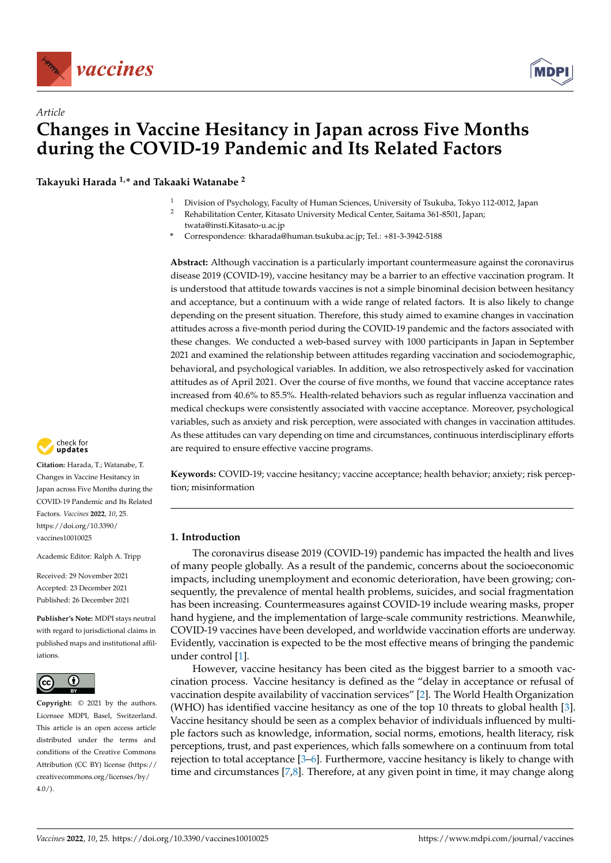



# *Article* **Changes in Vaccine Hesitancy in Japan across Five Months during the COVID-19 Pandemic and Its Related Factors**

**Takayuki Harada 1,\* and Takaaki Watanabe <sup>2</sup>**

- <sup>1</sup> Division of Psychology, Faculty of Human Sciences, University of Tsukuba, Tokyo 112-0012, Japan
- <sup>2</sup> Rehabilitation Center, Kitasato University Medical Center, Saitama 361-8501, Japan; twata@insti.Kitasato-u.ac.jp
- **\*** Correspondence: tkharada@human.tsukuba.ac.jp; Tel.: +81-3-3942-5188

**Abstract:** Although vaccination is a particularly important countermeasure against the coronavirus disease 2019 (COVID-19), vaccine hesitancy may be a barrier to an effective vaccination program. It is understood that attitude towards vaccines is not a simple binominal decision between hesitancy and acceptance, but a continuum with a wide range of related factors. It is also likely to change depending on the present situation. Therefore, this study aimed to examine changes in vaccination attitudes across a five-month period during the COVID-19 pandemic and the factors associated with these changes. We conducted a web-based survey with 1000 participants in Japan in September 2021 and examined the relationship between attitudes regarding vaccination and sociodemographic, behavioral, and psychological variables. In addition, we also retrospectively asked for vaccination attitudes as of April 2021. Over the course of five months, we found that vaccine acceptance rates increased from 40.6% to 85.5%. Health-related behaviors such as regular influenza vaccination and medical checkups were consistently associated with vaccine acceptance. Moreover, psychological variables, such as anxiety and risk perception, were associated with changes in vaccination attitudes. As these attitudes can vary depending on time and circumstances, continuous interdisciplinary efforts are required to ensure effective vaccine programs.

**Keywords:** COVID-19; vaccine hesitancy; vaccine acceptance; health behavior; anxiety; risk perception; misinformation

# **1. Introduction**

The coronavirus disease 2019 (COVID-19) pandemic has impacted the health and lives of many people globally. As a result of the pandemic, concerns about the socioeconomic impacts, including unemployment and economic deterioration, have been growing; consequently, the prevalence of mental health problems, suicides, and social fragmentation has been increasing. Countermeasures against COVID-19 include wearing masks, proper hand hygiene, and the implementation of large-scale community restrictions. Meanwhile, COVID-19 vaccines have been developed, and worldwide vaccination efforts are underway. Evidently, vaccination is expected to be the most effective means of bringing the pandemic under control [\[1\]](#page-12-0).

However, vaccine hesitancy has been cited as the biggest barrier to a smooth vaccination process. Vaccine hesitancy is defined as the "delay in acceptance or refusal of vaccination despite availability of vaccination services" [\[2\]](#page-12-1). The World Health Organization (WHO) has identified vaccine hesitancy as one of the top 10 threats to global health [\[3\]](#page-12-2). Vaccine hesitancy should be seen as a complex behavior of individuals influenced by multiple factors such as knowledge, information, social norms, emotions, health literacy, risk perceptions, trust, and past experiences, which falls somewhere on a continuum from total rejection to total acceptance [\[3](#page-12-2)[–6\]](#page-12-3). Furthermore, vaccine hesitancy is likely to change with time and circumstances [\[7](#page-12-4)[,8\]](#page-13-0). Therefore, at any given point in time, it may change along



**Citation:** Harada, T.; Watanabe, T. Changes in Vaccine Hesitancy in Japan across Five Months during the COVID-19 Pandemic and Its Related Factors. *Vaccines* **2022**, *10*, 25. [https://doi.org/10.3390/](https://doi.org/10.3390/vaccines10010025) [vaccines10010025](https://doi.org/10.3390/vaccines10010025)

Academic Editor: Ralph A. Tripp

Received: 29 November 2021 Accepted: 23 December 2021 Published: 26 December 2021

**Publisher's Note:** MDPI stays neutral with regard to jurisdictional claims in published maps and institutional affiliations.



**Copyright:** © 2021 by the authors. Licensee MDPI, Basel, Switzerland. This article is an open access article distributed under the terms and conditions of the Creative Commons Attribution (CC BY) license [\(https://](https://creativecommons.org/licenses/by/4.0/) [creativecommons.org/licenses/by/](https://creativecommons.org/licenses/by/4.0/)  $4.0/$ ).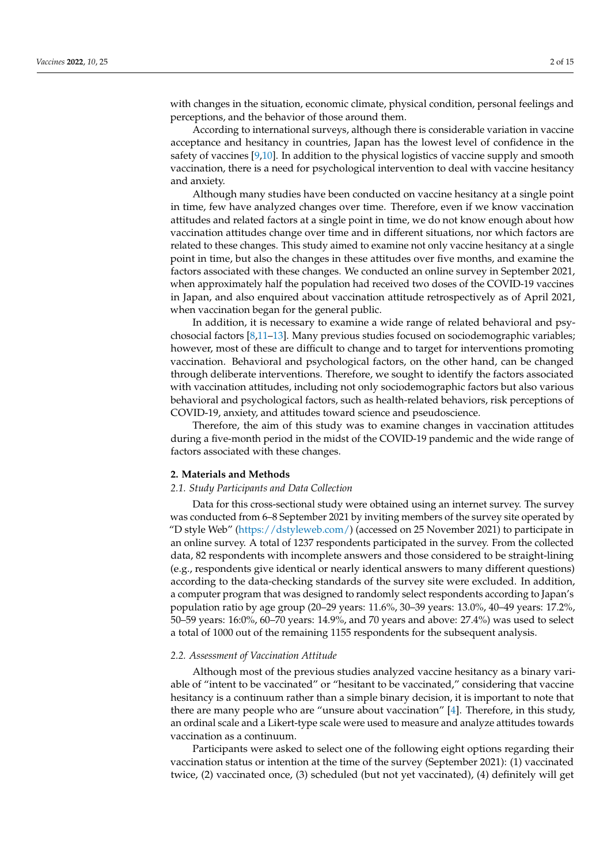with changes in the situation, economic climate, physical condition, personal feelings and perceptions, and the behavior of those around them.

According to international surveys, although there is considerable variation in vaccine acceptance and hesitancy in countries, Japan has the lowest level of confidence in the safety of vaccines [\[9,](#page-13-1)[10\]](#page-13-2). In addition to the physical logistics of vaccine supply and smooth vaccination, there is a need for psychological intervention to deal with vaccine hesitancy and anxiety.

Although many studies have been conducted on vaccine hesitancy at a single point in time, few have analyzed changes over time. Therefore, even if we know vaccination attitudes and related factors at a single point in time, we do not know enough about how vaccination attitudes change over time and in different situations, nor which factors are related to these changes. This study aimed to examine not only vaccine hesitancy at a single point in time, but also the changes in these attitudes over five months, and examine the factors associated with these changes. We conducted an online survey in September 2021, when approximately half the population had received two doses of the COVID-19 vaccines in Japan, and also enquired about vaccination attitude retrospectively as of April 2021, when vaccination began for the general public.

In addition, it is necessary to examine a wide range of related behavioral and psychosocial factors [\[8,](#page-13-0)[11](#page-13-3)[–13\]](#page-13-4). Many previous studies focused on sociodemographic variables; however, most of these are difficult to change and to target for interventions promoting vaccination. Behavioral and psychological factors, on the other hand, can be changed through deliberate interventions. Therefore, we sought to identify the factors associated with vaccination attitudes, including not only sociodemographic factors but also various behavioral and psychological factors, such as health-related behaviors, risk perceptions of COVID-19, anxiety, and attitudes toward science and pseudoscience.

Therefore, the aim of this study was to examine changes in vaccination attitudes during a five-month period in the midst of the COVID-19 pandemic and the wide range of factors associated with these changes.

## **2. Materials and Methods**

#### *2.1. Study Participants and Data Collection*

Data for this cross-sectional study were obtained using an internet survey. The survey was conducted from 6–8 September 2021 by inviting members of the survey site operated by "D style Web" [\(https://dstyleweb.com/\)](https://dstyleweb.com/) (accessed on 25 November 2021) to participate in an online survey. A total of 1237 respondents participated in the survey. From the collected data, 82 respondents with incomplete answers and those considered to be straight-lining (e.g., respondents give identical or nearly identical answers to many different questions) according to the data-checking standards of the survey site were excluded. In addition, a computer program that was designed to randomly select respondents according to Japan's population ratio by age group (20–29 years: 11.6%, 30–39 years: 13.0%, 40–49 years: 17.2%, 50–59 years: 16:0%, 60–70 years: 14.9%, and 70 years and above: 27.4%) was used to select a total of 1000 out of the remaining 1155 respondents for the subsequent analysis.

## *2.2. Assessment of Vaccination Attitude*

Although most of the previous studies analyzed vaccine hesitancy as a binary variable of "intent to be vaccinated" or "hesitant to be vaccinated," considering that vaccine hesitancy is a continuum rather than a simple binary decision, it is important to note that there are many people who are "unsure about vaccination" [\[4\]](#page-12-5). Therefore, in this study, an ordinal scale and a Likert-type scale were used to measure and analyze attitudes towards vaccination as a continuum.

Participants were asked to select one of the following eight options regarding their vaccination status or intention at the time of the survey (September 2021): (1) vaccinated twice, (2) vaccinated once, (3) scheduled (but not yet vaccinated), (4) definitely will get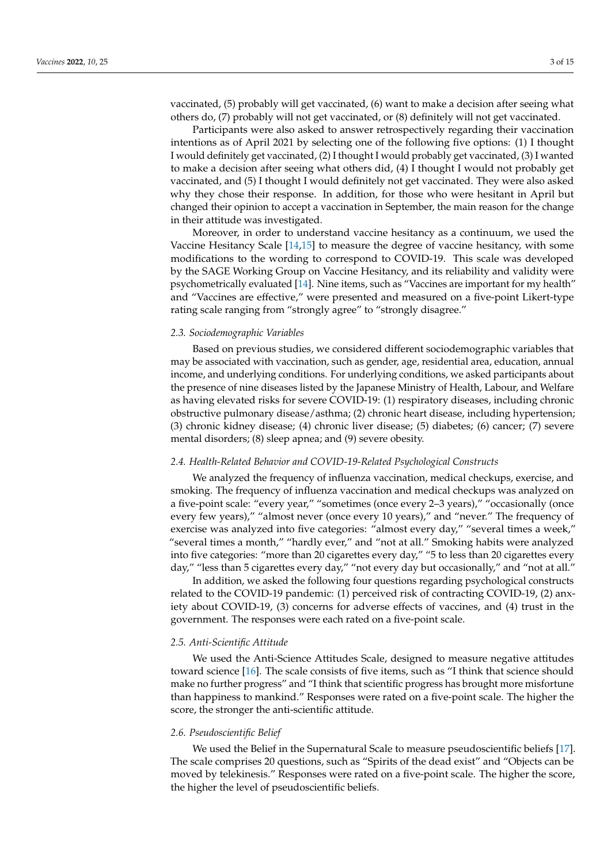vaccinated, (5) probably will get vaccinated, (6) want to make a decision after seeing what others do, (7) probably will not get vaccinated, or (8) definitely will not get vaccinated.

Participants were also asked to answer retrospectively regarding their vaccination intentions as of April 2021 by selecting one of the following five options: (1) I thought I would definitely get vaccinated, (2) I thought I would probably get vaccinated, (3) I wanted to make a decision after seeing what others did, (4) I thought I would not probably get vaccinated, and (5) I thought I would definitely not get vaccinated. They were also asked why they chose their response. In addition, for those who were hesitant in April but changed their opinion to accept a vaccination in September, the main reason for the change in their attitude was investigated.

Moreover, in order to understand vaccine hesitancy as a continuum, we used the Vaccine Hesitancy Scale [\[14](#page-13-5)[,15\]](#page-13-6) to measure the degree of vaccine hesitancy, with some modifications to the wording to correspond to COVID-19. This scale was developed by the SAGE Working Group on Vaccine Hesitancy, and its reliability and validity were psychometrically evaluated [\[14\]](#page-13-5). Nine items, such as "Vaccines are important for my health" and "Vaccines are effective," were presented and measured on a five-point Likert-type rating scale ranging from "strongly agree" to "strongly disagree."

## *2.3. Sociodemographic Variables*

Based on previous studies, we considered different sociodemographic variables that may be associated with vaccination, such as gender, age, residential area, education, annual income, and underlying conditions. For underlying conditions, we asked participants about the presence of nine diseases listed by the Japanese Ministry of Health, Labour, and Welfare as having elevated risks for severe COVID-19: (1) respiratory diseases, including chronic obstructive pulmonary disease/asthma; (2) chronic heart disease, including hypertension; (3) chronic kidney disease; (4) chronic liver disease; (5) diabetes; (6) cancer; (7) severe mental disorders; (8) sleep apnea; and (9) severe obesity.

#### *2.4. Health-Related Behavior and COVID-19-Related Psychological Constructs*

We analyzed the frequency of influenza vaccination, medical checkups, exercise, and smoking. The frequency of influenza vaccination and medical checkups was analyzed on a five-point scale: "every year," "sometimes (once every 2–3 years)," "occasionally (once every few years)," "almost never (once every 10 years)," and "never." The frequency of exercise was analyzed into five categories: "almost every day," "several times a week," "several times a month," "hardly ever," and "not at all." Smoking habits were analyzed into five categories: "more than 20 cigarettes every day," "5 to less than 20 cigarettes every day," "less than 5 cigarettes every day," "not every day but occasionally," and "not at all."

In addition, we asked the following four questions regarding psychological constructs related to the COVID-19 pandemic: (1) perceived risk of contracting COVID-19, (2) anxiety about COVID-19, (3) concerns for adverse effects of vaccines, and (4) trust in the government. The responses were each rated on a five-point scale.

### *2.5. Anti-Scientific Attitude*

We used the Anti-Science Attitudes Scale, designed to measure negative attitudes toward science [\[16\]](#page-13-7). The scale consists of five items, such as "I think that science should make no further progress" and "I think that scientific progress has brought more misfortune than happiness to mankind." Responses were rated on a five-point scale. The higher the score, the stronger the anti-scientific attitude.

## *2.6. Pseudoscientific Belief*

We used the Belief in the Supernatural Scale to measure pseudoscientific beliefs [\[17\]](#page-13-8). The scale comprises 20 questions, such as "Spirits of the dead exist" and "Objects can be moved by telekinesis." Responses were rated on a five-point scale. The higher the score, the higher the level of pseudoscientific beliefs.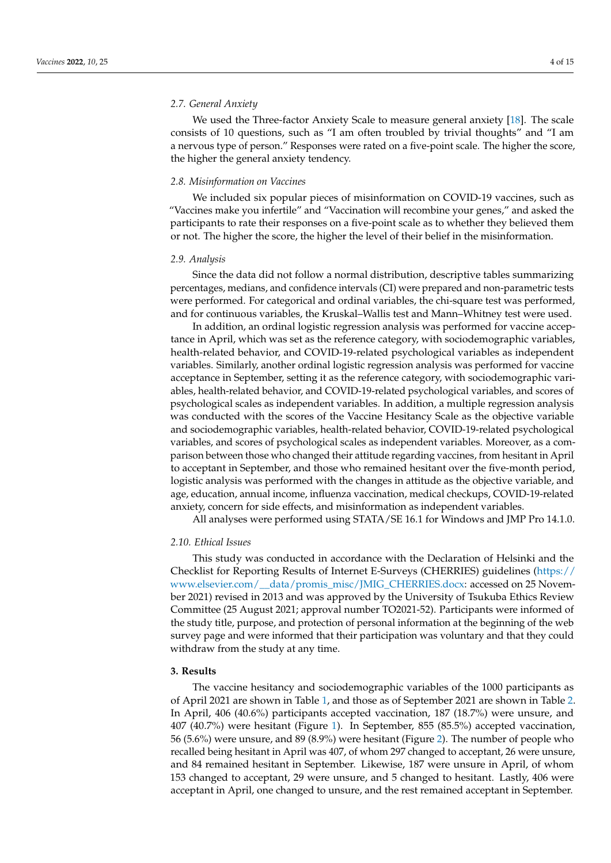## *2.7. General Anxiety*

We used the Three-factor Anxiety Scale to measure general anxiety [\[18\]](#page-13-9). The scale consists of 10 questions, such as "I am often troubled by trivial thoughts" and "I am a nervous type of person." Responses were rated on a five-point scale. The higher the score, the higher the general anxiety tendency.

## *2.8. Misinformation on Vaccines*

We included six popular pieces of misinformation on COVID-19 vaccines, such as "Vaccines make you infertile" and "Vaccination will recombine your genes," and asked the participants to rate their responses on a five-point scale as to whether they believed them or not. The higher the score, the higher the level of their belief in the misinformation.

#### *2.9. Analysis*

Since the data did not follow a normal distribution, descriptive tables summarizing percentages, medians, and confidence intervals (CI) were prepared and non-parametric tests were performed. For categorical and ordinal variables, the chi-square test was performed, and for continuous variables, the Kruskal–Wallis test and Mann–Whitney test were used.

In addition, an ordinal logistic regression analysis was performed for vaccine acceptance in April, which was set as the reference category, with sociodemographic variables, health-related behavior, and COVID-19-related psychological variables as independent variables. Similarly, another ordinal logistic regression analysis was performed for vaccine acceptance in September, setting it as the reference category, with sociodemographic variables, health-related behavior, and COVID-19-related psychological variables, and scores of psychological scales as independent variables. In addition, a multiple regression analysis was conducted with the scores of the Vaccine Hesitancy Scale as the objective variable and sociodemographic variables, health-related behavior, COVID-19-related psychological variables, and scores of psychological scales as independent variables. Moreover, as a comparison between those who changed their attitude regarding vaccines, from hesitant in April to acceptant in September, and those who remained hesitant over the five-month period, logistic analysis was performed with the changes in attitude as the objective variable, and age, education, annual income, influenza vaccination, medical checkups, COVID-19-related anxiety, concern for side effects, and misinformation as independent variables.

All analyses were performed using STATA/SE 16.1 for Windows and JMP Pro 14.1.0.

### *2.10. Ethical Issues*

This study was conducted in accordance with the Declaration of Helsinki and the Checklist for Reporting Results of Internet E-Surveys (CHERRIES) guidelines [\(https://](https://www.elsevier.com/__data/promis_misc/JMIG_CHERRIES.docx) [www.elsevier.com/\\_\\_data/promis\\_misc/JMIG\\_CHERRIES.docx:](https://www.elsevier.com/__data/promis_misc/JMIG_CHERRIES.docx) accessed on 25 November 2021) revised in 2013 and was approved by the University of Tsukuba Ethics Review Committee (25 August 2021; approval number TO2021-52). Participants were informed of the study title, purpose, and protection of personal information at the beginning of the web survey page and were informed that their participation was voluntary and that they could withdraw from the study at any time.

# **3. Results**

The vaccine hesitancy and sociodemographic variables of the 1000 participants as of April 2021 are shown in Table [1,](#page-4-0) and those as of September 2021 are shown in Table [2.](#page-5-0) In April, 406 (40.6%) participants accepted vaccination, 187 (18.7%) were unsure, and 407 (40.7%) were hesitant (Figure [1\)](#page-4-1). In September, 855 (85.5%) accepted vaccination, 56 (5.6%) were unsure, and 89 (8.9%) were hesitant (Figure [2\)](#page-5-1). The number of people who recalled being hesitant in April was 407, of whom 297 changed to acceptant, 26 were unsure, and 84 remained hesitant in September. Likewise, 187 were unsure in April, of whom 153 changed to acceptant, 29 were unsure, and 5 changed to hesitant. Lastly, 406 were acceptant in April, one changed to unsure, and the rest remained acceptant in September.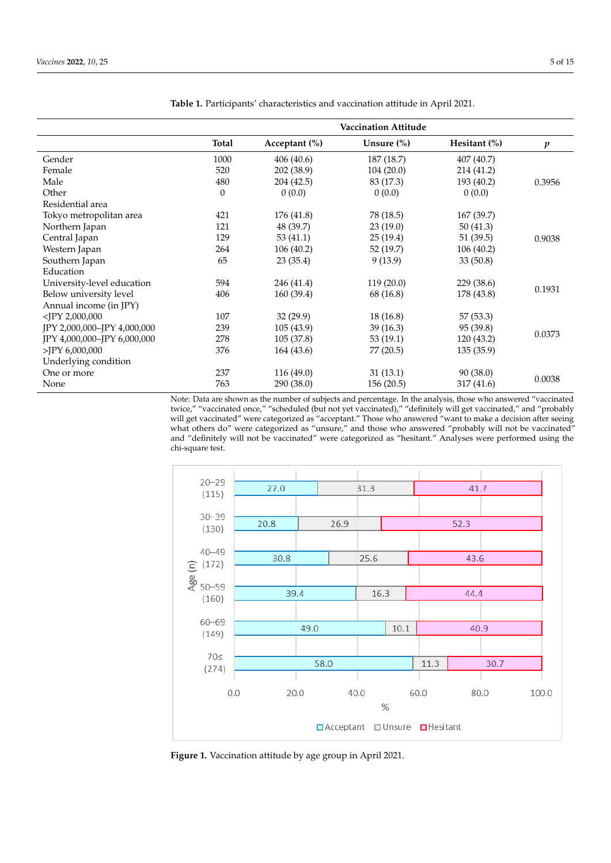|                             |                  |               | <b>Vaccination Attitude</b> |                 |                  |
|-----------------------------|------------------|---------------|-----------------------------|-----------------|------------------|
|                             | Total            | Acceptant (%) | Unsure $(\%)$               | Hesitant $(\%)$ | $\boldsymbol{p}$ |
| Gender                      | 1000             | 406(40.6)     | 187 (18.7)                  | 407 (40.7)      |                  |
| Female                      | 520              | 202 (38.9)    | 104(20.0)                   | 214 (41.2)      |                  |
| Male                        | 480              | 204 (42.5)    | 83 (17.3)                   | 193 (40.2)      | 0.3956           |
| Other                       | $\boldsymbol{0}$ | 0(0.0)        | 0(0.0)                      | 0(0.0)          |                  |
| Residential area            |                  |               |                             |                 |                  |
| Tokyo metropolitan area     | 421              | 176 (41.8)    | 78 (18.5)                   | 167 (39.7)      |                  |
| Northern Japan              | 121              | 48 (39.7)     | 23(19.0)                    | 50(41.3)        |                  |
| Central Japan               | 129              | 53 $(41.1)$   | 25(19.4)                    | 51(39.5)        | 0.9038           |
| Western Japan               | 264              | 106(40.2)     | 52 (19.7)                   | 106(40.2)       |                  |
| Southern Japan              | 65               | 23(35.4)      | 9(13.9)                     | 33(50.8)        |                  |
| Education                   |                  |               |                             |                 |                  |
| University-level education  | 594              | 246 (41.4)    | 119(20.0)                   | 229 (38.6)      |                  |
| Below university level      | 406              | 160 (39.4)    | 68 (16.8)                   | 178 (43.8)      | 0.1931           |
| Annual income (in JPY)      |                  |               |                             |                 |                  |
| $<$ JPY 2,000,000           | 107              | 32(29.9)      | 18(16.8)                    | 57 (53.3)       |                  |
| JPY 2,000,000-JPY 4,000,000 | 239              | 105 (43.9)    | 39(16.3)                    | 95 (39.8)       |                  |
| JPY 4,000,000-JPY 6,000,000 | 278              | 105 (37.8)    | 53(19.1)                    | 120 (43.2)      | 0.0373           |
| $>$ JPY 6,000,000           | 376              | 164 (43.6)    | 77 (20.5)                   | 135(35.9)       |                  |
| Underlying condition        |                  |               |                             |                 |                  |
| One or more                 | 237              | 116 (49.0)    | 31(13.1)                    | 90(38.0)        |                  |
| None                        | 763              | 290 (38.0)    | 156(20.5)                   | 317 (41.6)      | 0.0038           |

<span id="page-4-0"></span>**Table 1.** Participants' characteristics and vaccination attitude in April 2021.

Note: Data are shown as the number of subjects and percentage. In the analysis, those who answered "vaccinated twice," "vaccinated once," "scheduled (but not yet vaccinated)," "definitely will get vaccinated," and "probably will get vaccinated" were categorized as "acceptant." Those who answered "want to make a decision after seeing what others do" were categorized as "unsure," and those who answered "probably will not be vaccinated" and "definitely will not be vaccinated" were categorized as "hesitant." Analyses were performed using the chi-square test. wice," "vaccinated once," "scheduled (but not yet vaccinated)," "definitely will get vaccinated," and "probably out get vacculated were categorized as "acceptant." Those who answered "want to make a decision arter seeing"<br>who believed in the set of the set of the set of the set of the set of the set of the set of the set of the se

<span id="page-4-1"></span>

**Figure 1. Figure 1.**  Vaccination attitude by age group in April 2021. Vaccination attitude by age group in April 2021.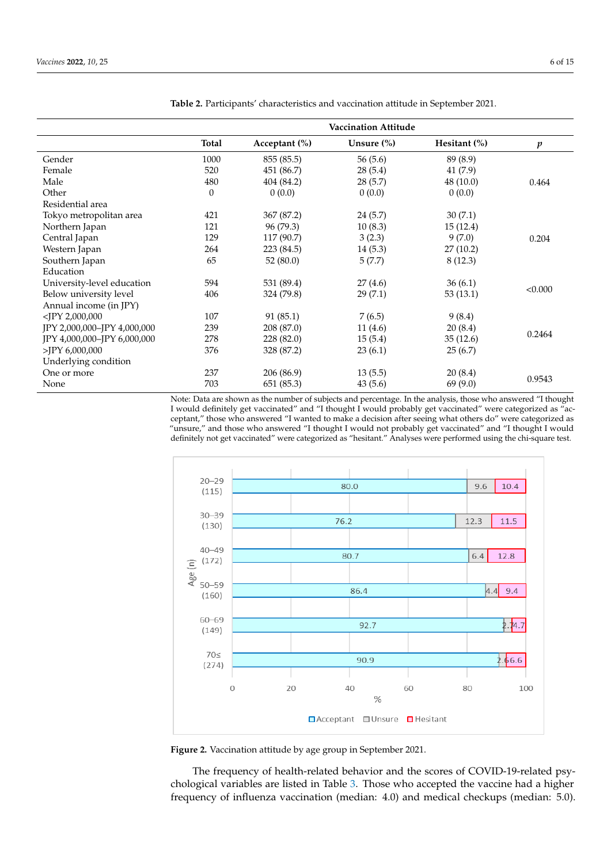|                             |          |                   | <b>Vaccination Attitude</b> |                 |         |
|-----------------------------|----------|-------------------|-----------------------------|-----------------|---------|
|                             | Total    | Acceptant $(\% )$ | Unsure $(\%)$               | Hesitant $(\%)$ | p       |
| Gender                      | 1000     | 855 (85.5)        | 56(5.6)                     | 89 (8.9)        |         |
| Female                      | 520      | 451 (86.7)        | 28(5.4)                     | 41(7.9)         |         |
| Male                        | 480      | 404 (84.2)        | 28(5.7)                     | 48(10.0)        | 0.464   |
| Other                       | $\theta$ | 0(0.0)            | 0(0.0)                      | 0(0.0)          |         |
| Residential area            |          |                   |                             |                 |         |
| Tokyo metropolitan area     | 421      | 367 (87.2)        | 24(5.7)                     | 30(7.1)         |         |
| Northern Japan              | 121      | 96 (79.3)         | 10(8.3)                     | 15(12.4)        |         |
| Central Japan               | 129      | 117 (90.7)        | 3(2.3)                      | 9(7.0)          | 0.204   |
| Western Japan               | 264      | 223 (84.5)        | 14(5.3)                     | 27(10.2)        |         |
| Southern Japan              | 65       | 52(80.0)          | 5(7.7)                      | 8(12.3)         |         |
| Education                   |          |                   |                             |                 |         |
| University-level education  | 594      | 531 (89.4)        | 27(4.6)                     | 36(6.1)         |         |
| Below university level      | 406      | 324 (79.8)        | 29(7.1)                     | 53(13.1)        | < 0.000 |
| Annual income (in JPY)      |          |                   |                             |                 |         |
| $<$ IPY 2,000,000           | 107      | 91(85.1)          | 7(6.5)                      | 9(8.4)          |         |
| JPY 2,000,000-JPY 4,000,000 | 239      | 208 (87.0)        | 11(4.6)                     | 20(8.4)         |         |
| JPY 4,000,000-JPY 6,000,000 | 278      | 228 (82.0)        | 15(5.4)                     | 35(12.6)        | 0.2464  |
| $>$ JPY 6,000,000           | 376      | 328 (87.2)        | 23(6.1)                     | 25(6.7)         |         |
| Underlying condition        |          |                   |                             |                 |         |
| One or more                 | 237      | 206 (86.9)        | 13(5.5)                     | 20(8.4)         |         |
| None                        | 703      | 651 (85.3)        | 43(5.6)                     | 69 (9.0)        | 0.9543  |

<span id="page-5-0"></span>**Table 2.** Participants' characteristics and vaccination attitude in September 2021.

Note: Data are shown as the number of subjects and percentage. In the analysis, those who answered "I thought I would definitely get vaccinated" and "I thought I would probably get vaccinated" were categorized as "acceptant," those who answered "I wanted to make a decision after seeing what others do" were categorized as "unsure," and those who answered "I thought I would not probably get vaccinated" and "I thought I would definitely not get vaccinated" were categorized as "hesitant." Analyses were performed using the chi-square test.

<span id="page-5-1"></span>

**Figure 2.** Vaccination attitude by age group in September 2021. **Figure 2.** Vaccination attitude by age group in September 2021.

The frequency of health-related behavior and the scores of COVID-19-related psy-chological variables are listed in Table [3.](#page-6-0) Those who accepted the vaccine had a higher frequency of influenza vaccination (median: 4.0) and medical checkups (median: 5.0).<br>**Fig. 3.0**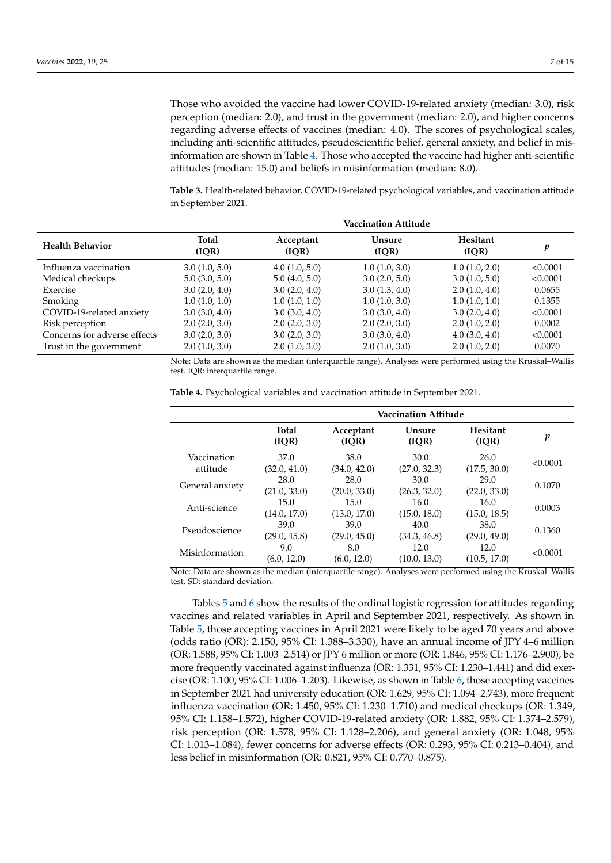Those who avoided the vaccine had lower COVID-19-related anxiety (median: 3.0), risk perception (median: 2.0), and trust in the government (median: 2.0), and higher concerns regarding adverse effects of vaccines (median: 4.0). The scores of psychological scales, including anti-scientific attitudes, pseudoscientific belief, general anxiety, and belief in misinformation are shown in Table [4.](#page-6-1) Those who accepted the vaccine had higher anti-scientific attitudes (median: 15.0) and beliefs in misinformation (median: 8.0).

<span id="page-6-0"></span>**Table 3.** Health-related behavior, COVID-19-related psychological variables, and vaccination attitude in September 2021.

|                              |                       |                    | <b>Vaccination Attitude</b> |                   |          |
|------------------------------|-----------------------|--------------------|-----------------------------|-------------------|----------|
| <b>Health Behavior</b>       | <b>Total</b><br>(IQR) | Acceptant<br>(IOR) | <b>Unsure</b><br>(IOR)      | Hesitant<br>(IOR) | v        |
| Influenza vaccination        | 3.0(1.0, 5.0)         | 4.0(1.0, 5.0)      | 1.0(1.0, 3.0)               | 1.0(1.0, 2.0)     | < 0.0001 |
| Medical checkups             | 5.0(3.0, 5.0)         | 5.0(4.0, 5.0)      | 3.0(2.0, 5.0)               | 3.0(1.0, 5.0)     | < 0.0001 |
| Exercise                     | 3.0(2.0, 4.0)         | 3.0(2.0, 4.0)      | 3.0(1.3, 4.0)               | 2.0(1.0, 4.0)     | 0.0655   |
| Smoking                      | 1.0(1.0, 1.0)         | 1.0(1.0, 1.0)      | 1.0(1.0, 3.0)               | 1.0(1.0, 1.0)     | 0.1355   |
| COVID-19-related anxiety     | 3.0(3.0, 4.0)         | 3.0(3.0, 4.0)      | 3.0(3.0, 4.0)               | 3.0(2.0, 4.0)     | < 0.0001 |
| Risk perception              | 2.0(2.0, 3.0)         | 2.0(2.0, 3.0)      | 2.0(2.0, 3.0)               | 2.0(1.0, 2.0)     | 0.0002   |
| Concerns for adverse effects | 3.0(2.0, 3.0)         | 3.0(2.0, 3.0)      | 3.0(3.0, 4.0)               | 4.0(3.0, 4.0)     | < 0.0001 |
| Trust in the government      | 2.0(1.0, 3.0)         | 2.0(1.0, 3.0)      | 2.0(1.0, 3.0)               | 2.0(1.0, 2.0)     | 0.0070   |

Note: Data are shown as the median (interquartile range). Analyses were performed using the Kruskal–Wallis test. IQR: interquartile range.

|                         | <b>Vaccination Attitude</b> |                      |                      |                          |          |
|-------------------------|-----------------------------|----------------------|----------------------|--------------------------|----------|
|                         | <b>Total</b><br>(IOR)       | Acceptant<br>(IOR)   | Unsure<br>(IOR)      | <b>Hesitant</b><br>(IQR) | p        |
| Vaccination<br>attitude | 37.0<br>(32.0, 41.0)        | 38.0<br>(34.0, 42.0) | 30.0<br>(27.0, 32.3) | 26.0<br>(17.5, 30.0)     | < 0.0001 |
| General anxiety         | 28.0<br>(21.0, 33.0)        | 28.0<br>(20.0, 33.0) | 30.0<br>(26.3, 32.0) | 29.0<br>(22.0, 33.0)     | 0.1070   |
| Anti-science            | 15.0<br>(14.0, 17.0)        | 15.0<br>(13.0, 17.0) | 16.0<br>(15.0, 18.0) | 16.0<br>(15.0, 18.5)     | 0.0003   |
| Pseudoscience           | 39.0<br>(29.0, 45.8)        | 39.0<br>(29.0, 45.0) | 40.0<br>(34.3, 46.8) | 38.0<br>(29.0, 49.0)     | 0.1360   |
| Misinformation          | 9.0<br>(6.0, 12.0)          | 8.0<br>(6.0, 12.0)   | 12.0<br>(10.0, 13.0) | 12.0<br>(10.5, 17.0)     | < 0.0001 |

<span id="page-6-1"></span>**Table 4.** Psychological variables and vaccination attitude in September 2021.

Note: Data are shown as the median (interquartile range). Analyses were performed using the Kruskal–Wallis test. SD: standard deviation.

Tables [5](#page-7-0) and [6](#page-8-0) show the results of the ordinal logistic regression for attitudes regarding vaccines and related variables in April and September 2021, respectively. As shown in Table [5,](#page-7-0) those accepting vaccines in April 2021 were likely to be aged 70 years and above (odds ratio (OR): 2.150, 95% CI: 1.388–3.330), have an annual income of JPY 4–6 million (OR: 1.588, 95% CI: 1.003–2.514) or JPY 6 million or more (OR: 1.846, 95% CI: 1.176–2.900), be more frequently vaccinated against influenza (OR: 1.331, 95% CI: 1.230–1.441) and did exercise (OR: 1.100, 95% CI: 1.006–1.203). Likewise, as shown in Table [6,](#page-8-0) those accepting vaccines in September 2021 had university education (OR: 1.629, 95% CI: 1.094–2.743), more frequent influenza vaccination (OR: 1.450, 95% CI: 1.230–1.710) and medical checkups (OR: 1.349, 95% CI: 1.158–1.572), higher COVID-19-related anxiety (OR: 1.882, 95% CI: 1.374–2.579), risk perception (OR: 1.578, 95% CI: 1.128–2.206), and general anxiety (OR: 1.048, 95% CI: 1.013–1.084), fewer concerns for adverse effects (OR: 0.293, 95% CI: 0.213–0.404), and less belief in misinformation (OR: 0.821, 95% CI: 0.770–0.875).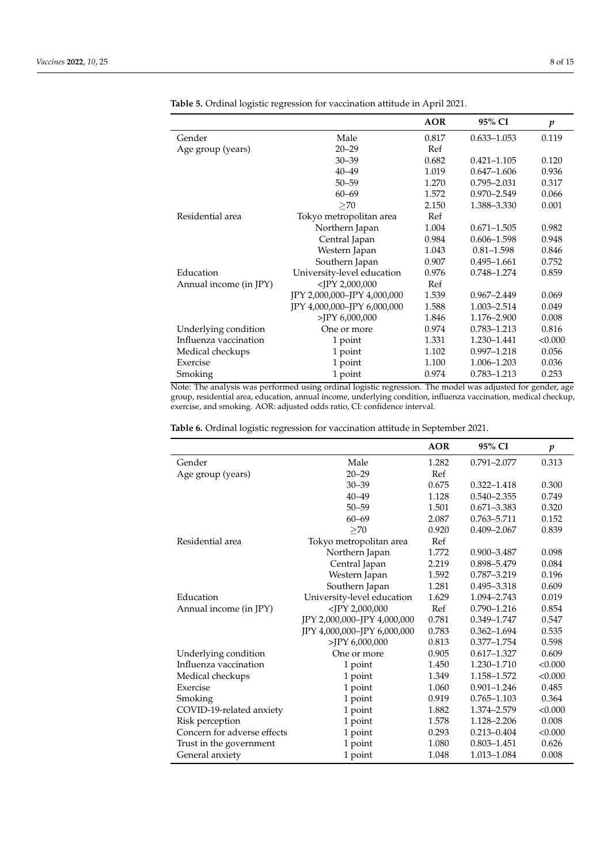|                        |                             | <b>AOR</b> | 95% CI          | p       |
|------------------------|-----------------------------|------------|-----------------|---------|
| Gender                 | Male                        | 0.817      | $0.633 - 1.053$ | 0.119   |
| Age group (years)      | $20 - 29$                   | Ref        |                 |         |
|                        | $30 - 39$                   | 0.682      | $0.421 - 1.105$ | 0.120   |
|                        | $40 - 49$                   | 1.019      | $0.647 - 1.606$ | 0.936   |
|                        | $50 - 59$                   | 1.270      | 0.795-2.031     | 0.317   |
|                        | $60 - 69$                   | 1.572      | 0.970-2.549     | 0.066   |
|                        | >70                         | 2.150      | 1.388-3.330     | 0.001   |
| Residential area       | Tokyo metropolitan area     | Ref        |                 |         |
|                        | Northern Japan              | 1.004      | $0.671 - 1.505$ | 0.982   |
|                        | Central Japan               | 0.984      | $0.606 - 1.598$ | 0.948   |
|                        | Western Japan               | 1.043      | $0.81 - 1.598$  | 0.846   |
|                        | Southern Japan              | 0.907      | $0.495 - 1.661$ | 0.752   |
| Education              | University-level education  | 0.976      | 0.748-1.274     | 0.859   |
| Annual income (in JPY) | $<$ JPY 2,000,000           | Ref        |                 |         |
|                        | JPY 2,000,000-JPY 4,000,000 | 1.539      | $0.967 - 2.449$ | 0.069   |
|                        | JPY 4,000,000-JPY 6,000,000 | 1.588      | 1.003-2.514     | 0.049   |
|                        | $>$ JPY 6,000,000           | 1.846      | 1.176-2.900     | 0.008   |
| Underlying condition   | One or more                 | 0.974      | $0.783 - 1.213$ | 0.816   |
| Influenza vaccination  | 1 point                     | 1.331      | 1.230-1.441     | < 0.000 |
| Medical checkups       | 1 point                     | 1.102      | 0.997-1.218     | 0.056   |
| Exercise               | 1 point                     | 1.100      | 1.006-1.203     | 0.036   |
| Smoking                | 1 point                     | 0.974      | 0.783-1.213     | 0.253   |

<span id="page-7-0"></span>**Table 5.** Ordinal logistic regression for vaccination attitude in April 2021.

Note: The analysis was performed using ordinal logistic regression. The model was adjusted for gender, age group, residential area, education, annual income, underlying condition, influenza vaccination, medical checkup, exercise, and smoking. AOR: adjusted odds ratio, CI: confidence interval.

|  |  | <b>Table 6.</b> Ordinal logistic regression for vaccination attitude in September 2021. |  |  |
|--|--|-----------------------------------------------------------------------------------------|--|--|
|  |  |                                                                                         |  |  |

|                             |                             | <b>AOR</b> | 95% CI          | $\boldsymbol{p}$ |
|-----------------------------|-----------------------------|------------|-----------------|------------------|
| Gender                      | Male                        | 1.282      | $0.791 - 2.077$ | 0.313            |
| Age group (years)           | $20 - 29$                   | Ref        |                 |                  |
|                             | $30 - 39$                   | 0.675      | $0.322 - 1.418$ | 0.300            |
|                             | $40 - 49$                   | 1.128      | $0.540 - 2.355$ | 0.749            |
|                             | $50 - 59$                   | 1.501      | $0.671 - 3.383$ | 0.320            |
|                             | $60 - 69$                   | 2.087      | $0.763 - 5.711$ | 0.152            |
|                             | >70                         | 0.920      | $0.409 - 2.067$ | 0.839            |
| Residential area            | Tokyo metropolitan area     | Ref        |                 |                  |
|                             | Northern Japan              | 1.772      | $0.900 - 3.487$ | 0.098            |
|                             | Central Japan               | 2.219      | 0.898-5.479     | 0.084            |
|                             | Western Japan               | 1.592      | 0.787-3.219     | 0.196            |
|                             | Southern Japan              | 1.281      | $0.495 - 3.318$ | 0.609            |
| Education                   | University-level education  | 1.629      | 1.094-2.743     | 0.019            |
| Annual income (in JPY)      | $<$ JPY 2,000,000           | Ref        | $0.790 - 1.216$ | 0.854            |
|                             | JPY 2,000,000-JPY 4,000,000 | 0.781      | 0.349-1.747     | 0.547            |
|                             | JPY 4,000,000-JPY 6,000,000 | 0.783      | $0.362 - 1.694$ | 0.535            |
|                             | >JPY 6,000,000              | 0.813      | $0.377 - 1.754$ | 0.598            |
| Underlying condition        | One or more                 | 0.905      | $0.617 - 1.327$ | 0.609            |
| Influenza vaccination       | 1 point                     | 1.450      | 1.230-1.710     | < 0.000          |
| Medical checkups            | 1 point                     | 1.349      | 1.158-1.572     | < 0.000          |
| Exercise                    | 1 point                     | 1.060      | $0.901 - 1.246$ | 0.485            |
| Smoking                     | 1 point                     | 0.919      | $0.765 - 1.103$ | 0.364            |
| COVID-19-related anxiety    | 1 point                     | 1.882      | 1.374-2.579     | < 0.000          |
| Risk perception             | 1 point                     | 1.578      | 1.128-2.206     | 0.008            |
| Concern for adverse effects | 1 point                     | 0.293      | $0.213 - 0.404$ | < 0.000          |
| Trust in the government     | 1 point                     | 1.080      | $0.803 - 1.451$ | 0.626            |
| General anxiety             | 1 point                     | 1.048      | 1.013-1.084     | 0.008            |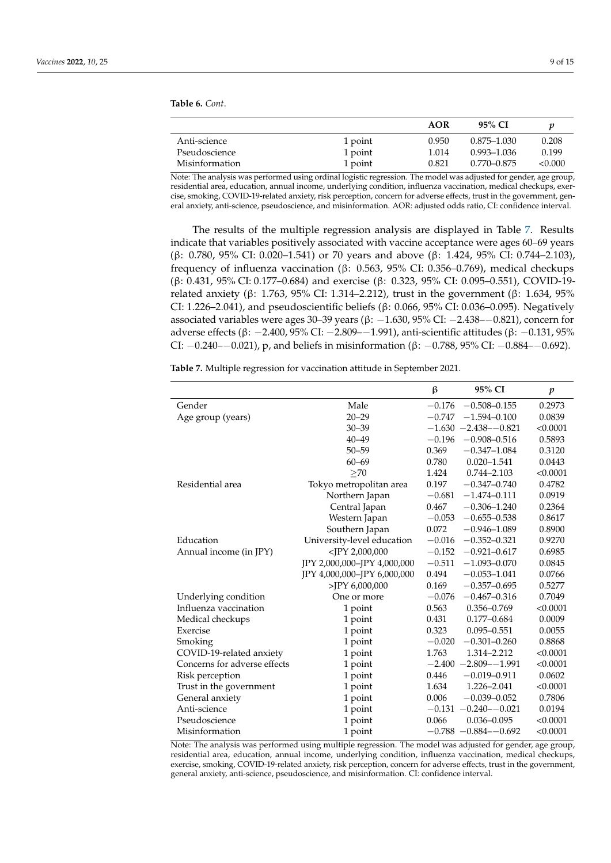<span id="page-8-0"></span>**Table 6.** *Cont*.

|                |         | <b>AOR</b> | 95% CI          |         |
|----------------|---------|------------|-----------------|---------|
| Anti-science   | 1 point | 0.950      | $0.875 - 1.030$ | 0.208   |
| Pseudoscience  | 1 point | 1.014      | 0.993–1.036     | 0.199   |
| Misinformation | 1 point | 0.821      | 0.770–0.875     | < 0.000 |

Note: The analysis was performed using ordinal logistic regression. The model was adjusted for gender, age group, residential area, education, annual income, underlying condition, influenza vaccination, medical checkups, exercise, smoking, COVID-19-related anxiety, risk perception, concern for adverse effects, trust in the government, general anxiety, anti-science, pseudoscience, and misinformation. AOR: adjusted odds ratio, CI: confidence interval.

The results of the multiple regression analysis are displayed in Table [7.](#page-8-1) Results indicate that variables positively associated with vaccine acceptance were ages 60–69 years (β: 0.780, 95% CI: 0.020–1.541) or 70 years and above (β: 1.424, 95% CI: 0.744–2.103), frequency of influenza vaccination (β: 0.563, 95% CI: 0.356–0.769), medical checkups (β: 0.431, 95% CI: 0.177–0.684) and exercise (β: 0.323, 95% CI: 0.095–0.551), COVID-19 related anxiety (β: 1.763, 95% CI: 1.314–2.212), trust in the government (β: 1.634, 95% CI: 1.226–2.041), and pseudoscientific beliefs (β: 0.066, 95% CI: 0.036–0.095). Negatively associated variables were ages 30–39 years (β:  $-1.630$ , 95% CI:  $-2.438$ – $-0.821$ ), concern for adverse effects (β: −2.400, 95% CI: −2.809–−1.991), anti-scientific attitudes (β: −0.131, 95% CI:  $-0.240-0.021$ ), p, and beliefs in misinformation (β:  $-0.788$ , 95% CI:  $-0.884-0.692$ ).

<span id="page-8-1"></span>**Table 7.** Multiple regression for vaccination attitude in September 2021.

|                              |                             | ß        | 95% CI                   | p        |
|------------------------------|-----------------------------|----------|--------------------------|----------|
| Gender                       | Male                        | $-0.176$ | $-0.508 - 0.155$         | 0.2973   |
| Age group (years)            | $20 - 29$                   | $-0.747$ | $-1.594 - 0.100$         | 0.0839   |
|                              | $30 - 39$                   |          | $-1.630 -2.438 - 0.821$  | < 0.0001 |
|                              | $40 - 49$                   | $-0.196$ | $-0.908 - 0.516$         | 0.5893   |
|                              | $50 - 59$                   | 0.369    | $-0.347 - 1.084$         | 0.3120   |
|                              | $60 - 69$                   | 0.780    | $0.020 - 1.541$          | 0.0443   |
|                              | >70                         | 1.424    | $0.744 - 2.103$          | < 0.0001 |
| Residential area             | Tokyo metropolitan area     | 0.197    | $-0.347 - 0.740$         | 0.4782   |
|                              | Northern Japan              | $-0.681$ | $-1.474 - 0.111$         | 0.0919   |
|                              | Central Japan               | 0.467    | $-0.306 - 1.240$         | 0.2364   |
|                              | Western Japan               | $-0.053$ | $-0.655 - 0.538$         | 0.8617   |
|                              | Southern Japan              | 0.072    | $-0.946 - 1.089$         | 0.8900   |
| Education                    | University-level education  | $-0.016$ | $-0.352 - 0.321$         | 0.9270   |
| Annual income (in JPY)       | $<$ JPY 2,000,000           | $-0.152$ | $-0.921 - 0.617$         | 0.6985   |
|                              | JPY 2,000,000-JPY 4,000,000 | $-0.511$ | $-1.093 - 0.070$         | 0.0845   |
|                              | JPY 4,000,000-JPY 6,000,000 | 0.494    | $-0.053 - 1.041$         | 0.0766   |
|                              | $>$ JPY 6,000,000           | 0.169    | $-0.357 - 0.695$         | 0.5277   |
| Underlying condition         | One or more                 | $-0.076$ | $-0.467 - 0.316$         | 0.7049   |
| Influenza vaccination        | 1 point                     | 0.563    | $0.356 - 0.769$          | < 0.0001 |
| Medical checkups             | 1 point                     | 0.431    | $0.177 - 0.684$          | 0.0009   |
| Exercise                     | 1 point                     | 0.323    | $0.095 - 0.551$          | 0.0055   |
| Smoking                      | 1 point                     | $-0.020$ | $-0.301 - 0.260$         | 0.8868   |
| COVID-19-related anxiety     | 1 point                     | 1.763    | 1.314-2.212              | < 0.0001 |
| Concerns for adverse effects | 1 point                     |          | $-2.400 -2.809 -1.991$   | < 0.0001 |
| Risk perception              | 1 point                     | 0.446    | $-0.019 - 0.911$         | 0.0602   |
| Trust in the government      | 1 point                     | 1.634    | 1.226-2.041              | < 0.0001 |
| General anxiety              | 1 point                     | 0.006    | $-0.039 - 0.052$         | 0.7806   |
| Anti-science                 | 1 point                     |          | $-0.131 - 0.240 - 0.021$ | 0.0194   |
| Pseudoscience                | 1 point                     | 0.066    | $0.036 - 0.095$          | < 0.0001 |
| Misinformation               | 1 point                     |          | $-0.788 - 0.884 - 0.692$ | < 0.0001 |

Note: The analysis was performed using multiple regression. The model was adjusted for gender, age group, residential area, education, annual income, underlying condition, influenza vaccination, medical checkups, exercise, smoking, COVID-19-related anxiety, risk perception, concern for adverse effects, trust in the government, general anxiety, anti-science, pseudoscience, and misinformation. CI: confidence interval.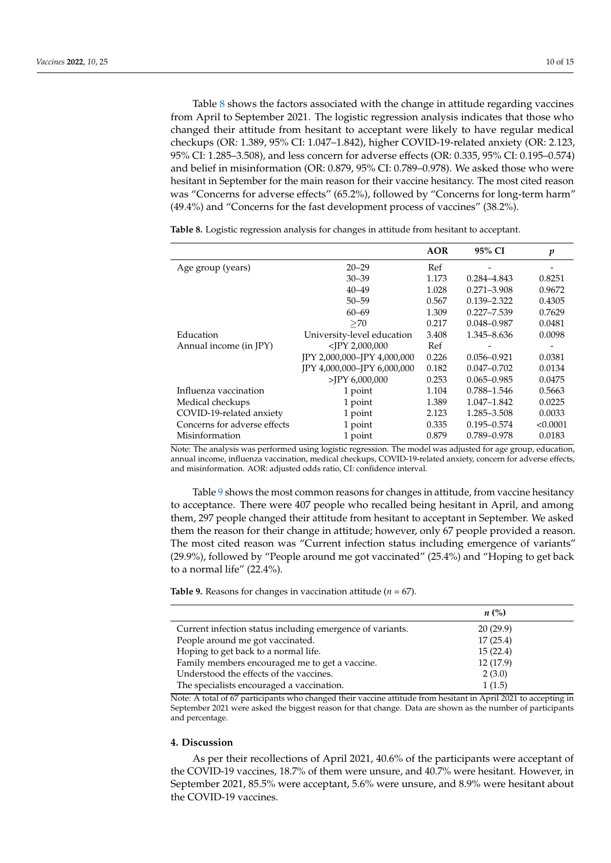Table [8](#page-9-0) shows the factors associated with the change in attitude regarding vaccines from April to September 2021. The logistic regression analysis indicates that those who changed their attitude from hesitant to acceptant were likely to have regular medical checkups (OR: 1.389, 95% CI: 1.047–1.842), higher COVID-19-related anxiety (OR: 2.123, 95% CI: 1.285–3.508), and less concern for adverse effects (OR: 0.335, 95% CI: 0.195–0.574) and belief in misinformation (OR: 0.879, 95% CI: 0.789–0.978). We asked those who were hesitant in September for the main reason for their vaccine hesitancy. The most cited reason was "Concerns for adverse effects" (65.2%), followed by "Concerns for long-term harm" (49.4%) and "Concerns for the fast development process of vaccines" (38.2%).

**AOR 95% CI** *p* Age group (years) 20–29 Ref 30–39 1.173 0.284–4.843 0.8251 40–49 1.028 0.271–3.908 0.9672 50–59 0.567 0.139–2.322 0.4305 60–69 1.309 0.227–7.539 0.7629  $\geq$ 70 0.217 0.048–0.987 0.0481 Education University-level education 3.408 1.345–8.636 0.0098<br>Annual income (in JPY)  $\langle JPY 2,000,000 \rangle$  Ref -Annual income (in JPY)  $\langle JPY 2,000,000$  Ref JPY 2,000,000–JPY 4,000,000 0.226 0.056–0.921 0.0381 JPY 4,000,000–JPY 6,000,000 0.182 0.047–0.702 0.0134 >JPY 6,000,000 0.253 0.065–0.985 0.0475 Influenza vaccination 1 point 1.104 0.788–1.546 0.5663 Medical checkups 1 point 1.389 1.047–1.842 0.0225 COVID-19-related anxiety 1 point 2.123 1.285–3.508 0.0033 Concerns for adverse effects 1 point 0.335 0.195–0.574 <0.0001 Misinformation 1 point 0.879 0.789–0.978 0.0183

<span id="page-9-0"></span>**Table 8.** Logistic regression analysis for changes in attitude from hesitant to acceptant.

Note: The analysis was performed using logistic regression. The model was adjusted for age group, education, annual income, influenza vaccination, medical checkups, COVID-19-related anxiety, concern for adverse effects, and misinformation. AOR: adjusted odds ratio, CI: confidence interval.

Table [9](#page-9-1) shows the most common reasons for changes in attitude, from vaccine hesitancy to acceptance. There were 407 people who recalled being hesitant in April, and among them, 297 people changed their attitude from hesitant to acceptant in September. We asked them the reason for their change in attitude; however, only 67 people provided a reason. The most cited reason was "Current infection status including emergence of variants" (29.9%), followed by "People around me got vaccinated" (25.4%) and "Hoping to get back to a normal life" (22.4%).

<span id="page-9-1"></span>**Table 9.** Reasons for changes in vaccination attitude ( $n = 67$ ).

|                                                           | $n\left(\%\right)$ |  |
|-----------------------------------------------------------|--------------------|--|
| Current infection status including emergence of variants. | 20(29.9)           |  |
| People around me got vaccinated.                          | 17(25.4)           |  |
| Hoping to get back to a normal life.                      | 15(22.4)           |  |
| Family members encouraged me to get a vaccine.            | 12 (17.9)          |  |
| Understood the effects of the vaccines.                   | 2(3.0)             |  |
| The specialists encouraged a vaccination.                 | 1(1.5)             |  |

Note: A total of 67 participants who changed their vaccine attitude from hesitant in April 2021 to accepting in September 2021 were asked the biggest reason for that change. Data are shown as the number of participants and percentage.

## **4. Discussion**

As per their recollections of April 2021, 40.6% of the participants were acceptant of the COVID-19 vaccines, 18.7% of them were unsure, and 40.7% were hesitant. However, in September 2021, 85.5% were acceptant, 5.6% were unsure, and 8.9% were hesitant about the COVID-19 vaccines.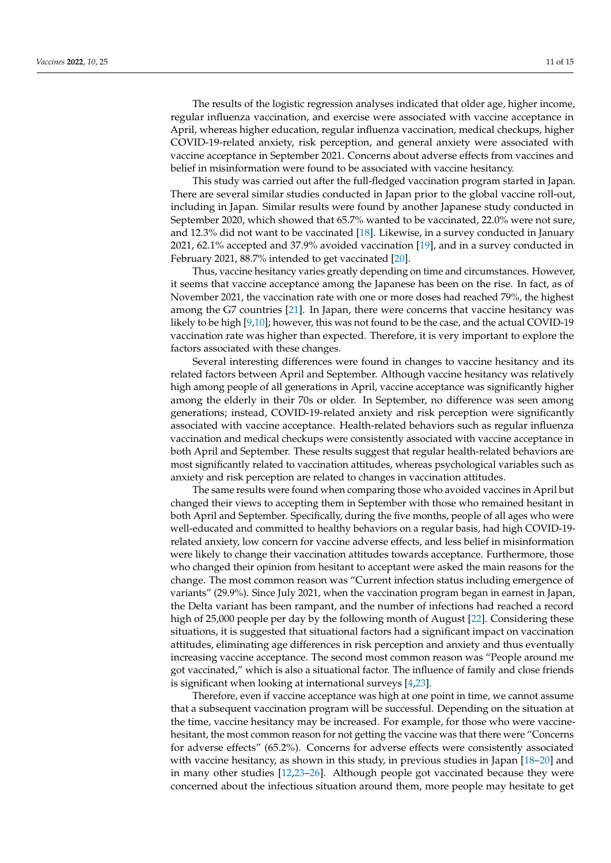The results of the logistic regression analyses indicated that older age, higher income, regular influenza vaccination, and exercise were associated with vaccine acceptance in April, whereas higher education, regular influenza vaccination, medical checkups, higher COVID-19-related anxiety, risk perception, and general anxiety were associated with vaccine acceptance in September 2021. Concerns about adverse effects from vaccines and belief in misinformation were found to be associated with vaccine hesitancy.

This study was carried out after the full-fledged vaccination program started in Japan. There are several similar studies conducted in Japan prior to the global vaccine roll-out, including in Japan. Similar results were found by another Japanese study conducted in September 2020, which showed that 65.7% wanted to be vaccinated, 22.0% were not sure, and 12.3% did not want to be vaccinated [\[18\]](#page-13-9). Likewise, in a survey conducted in January 2021, 62.1% accepted and 37.9% avoided vaccination [\[19\]](#page-13-10), and in a survey conducted in February 2021, 88.7% intended to get vaccinated [\[20\]](#page-13-11).

Thus, vaccine hesitancy varies greatly depending on time and circumstances. However, it seems that vaccine acceptance among the Japanese has been on the rise. In fact, as of November 2021, the vaccination rate with one or more doses had reached 79%, the highest among the G7 countries [\[21\]](#page-13-12). In Japan, there were concerns that vaccine hesitancy was likely to be high [\[9,](#page-13-1)[10\]](#page-13-2); however, this was not found to be the case, and the actual COVID-19 vaccination rate was higher than expected. Therefore, it is very important to explore the factors associated with these changes.

Several interesting differences were found in changes to vaccine hesitancy and its related factors between April and September. Although vaccine hesitancy was relatively high among people of all generations in April, vaccine acceptance was significantly higher among the elderly in their 70s or older. In September, no difference was seen among generations; instead, COVID-19-related anxiety and risk perception were significantly associated with vaccine acceptance. Health-related behaviors such as regular influenza vaccination and medical checkups were consistently associated with vaccine acceptance in both April and September. These results suggest that regular health-related behaviors are most significantly related to vaccination attitudes, whereas psychological variables such as anxiety and risk perception are related to changes in vaccination attitudes.

The same results were found when comparing those who avoided vaccines in April but changed their views to accepting them in September with those who remained hesitant in both April and September. Specifically, during the five months, people of all ages who were well-educated and committed to healthy behaviors on a regular basis, had high COVID-19 related anxiety, low concern for vaccine adverse effects, and less belief in misinformation were likely to change their vaccination attitudes towards acceptance. Furthermore, those who changed their opinion from hesitant to acceptant were asked the main reasons for the change. The most common reason was "Current infection status including emergence of variants" (29.9%). Since July 2021, when the vaccination program began in earnest in Japan, the Delta variant has been rampant, and the number of infections had reached a record high of 25,000 people per day by the following month of August [\[22\]](#page-13-13). Considering these situations, it is suggested that situational factors had a significant impact on vaccination attitudes, eliminating age differences in risk perception and anxiety and thus eventually increasing vaccine acceptance. The second most common reason was "People around me got vaccinated," which is also a situational factor. The influence of family and close friends is significant when looking at international surveys [\[4,](#page-12-5)[23\]](#page-13-14).

Therefore, even if vaccine acceptance was high at one point in time, we cannot assume that a subsequent vaccination program will be successful. Depending on the situation at the time, vaccine hesitancy may be increased. For example, for those who were vaccinehesitant, the most common reason for not getting the vaccine was that there were "Concerns for adverse effects" (65.2%). Concerns for adverse effects were consistently associated with vaccine hesitancy, as shown in this study, in previous studies in Japan [\[18–](#page-13-9)[20\]](#page-13-11) and in many other studies [\[12](#page-13-15)[,23–](#page-13-14)[26\]](#page-13-16). Although people got vaccinated because they were concerned about the infectious situation around them, more people may hesitate to get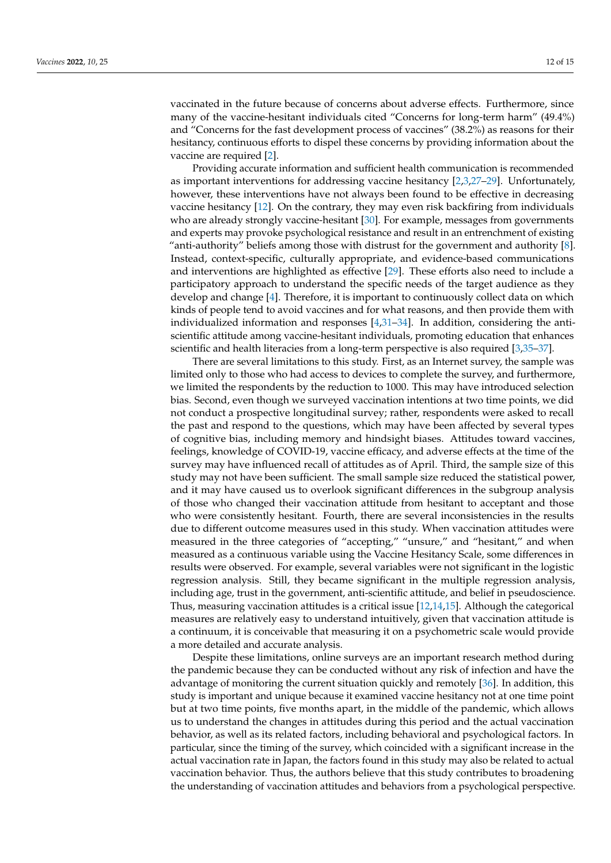vaccinated in the future because of concerns about adverse effects. Furthermore, since many of the vaccine-hesitant individuals cited "Concerns for long-term harm" (49.4%) and "Concerns for the fast development process of vaccines" (38.2%) as reasons for their hesitancy, continuous efforts to dispel these concerns by providing information about the vaccine are required [\[2\]](#page-12-1).

Providing accurate information and sufficient health communication is recommended as important interventions for addressing vaccine hesitancy [\[2,](#page-12-1)[3,](#page-12-2)[27](#page-13-17)[–29\]](#page-13-18). Unfortunately, however, these interventions have not always been found to be effective in decreasing vaccine hesitancy [\[12\]](#page-13-15). On the contrary, they may even risk backfiring from individuals who are already strongly vaccine-hesitant [\[30\]](#page-13-19). For example, messages from governments and experts may provoke psychological resistance and result in an entrenchment of existing "anti-authority" beliefs among those with distrust for the government and authority [\[8\]](#page-13-0). Instead, context-specific, culturally appropriate, and evidence-based communications and interventions are highlighted as effective [\[29\]](#page-13-18). These efforts also need to include a participatory approach to understand the specific needs of the target audience as they develop and change [\[4\]](#page-12-5). Therefore, it is important to continuously collect data on which kinds of people tend to avoid vaccines and for what reasons, and then provide them with individualized information and responses [\[4](#page-12-5)[,31](#page-13-20)[–34\]](#page-13-21). In addition, considering the antiscientific attitude among vaccine-hesitant individuals, promoting education that enhances scientific and health literacies from a long-term perspective is also required [\[3,](#page-12-2)[35–](#page-13-22)[37\]](#page-14-0).

There are several limitations to this study. First, as an Internet survey, the sample was limited only to those who had access to devices to complete the survey, and furthermore, we limited the respondents by the reduction to 1000. This may have introduced selection bias. Second, even though we surveyed vaccination intentions at two time points, we did not conduct a prospective longitudinal survey; rather, respondents were asked to recall the past and respond to the questions, which may have been affected by several types of cognitive bias, including memory and hindsight biases. Attitudes toward vaccines, feelings, knowledge of COVID-19, vaccine efficacy, and adverse effects at the time of the survey may have influenced recall of attitudes as of April. Third, the sample size of this study may not have been sufficient. The small sample size reduced the statistical power, and it may have caused us to overlook significant differences in the subgroup analysis of those who changed their vaccination attitude from hesitant to acceptant and those who were consistently hesitant. Fourth, there are several inconsistencies in the results due to different outcome measures used in this study. When vaccination attitudes were measured in the three categories of "accepting," "unsure," and "hesitant," and when measured as a continuous variable using the Vaccine Hesitancy Scale, some differences in results were observed. For example, several variables were not significant in the logistic regression analysis. Still, they became significant in the multiple regression analysis, including age, trust in the government, anti-scientific attitude, and belief in pseudoscience. Thus, measuring vaccination attitudes is a critical issue [\[12,](#page-13-15)[14](#page-13-5)[,15\]](#page-13-6). Although the categorical measures are relatively easy to understand intuitively, given that vaccination attitude is a continuum, it is conceivable that measuring it on a psychometric scale would provide a more detailed and accurate analysis.

Despite these limitations, online surveys are an important research method during the pandemic because they can be conducted without any risk of infection and have the advantage of monitoring the current situation quickly and remotely [\[36\]](#page-13-23). In addition, this study is important and unique because it examined vaccine hesitancy not at one time point but at two time points, five months apart, in the middle of the pandemic, which allows us to understand the changes in attitudes during this period and the actual vaccination behavior, as well as its related factors, including behavioral and psychological factors. In particular, since the timing of the survey, which coincided with a significant increase in the actual vaccination rate in Japan, the factors found in this study may also be related to actual vaccination behavior. Thus, the authors believe that this study contributes to broadening the understanding of vaccination attitudes and behaviors from a psychological perspective.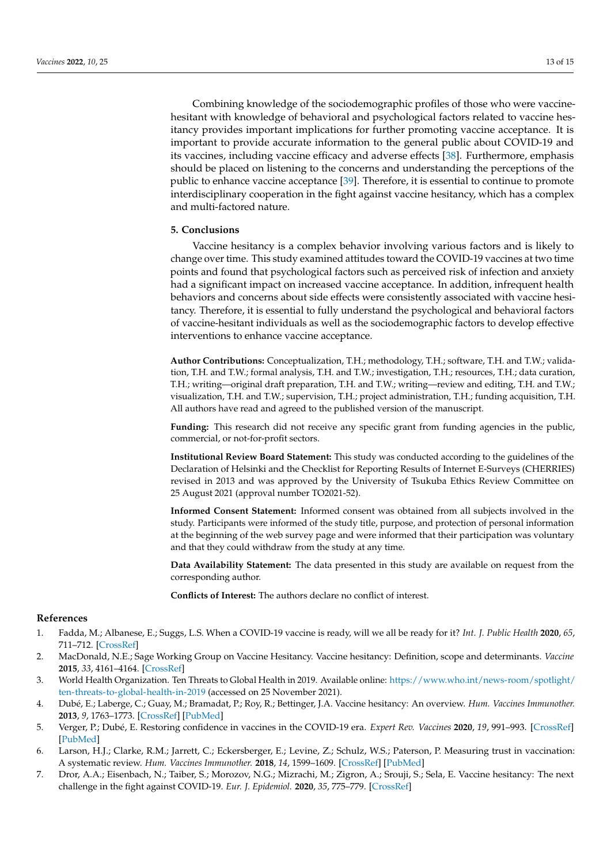Combining knowledge of the sociodemographic profiles of those who were vaccinehesitant with knowledge of behavioral and psychological factors related to vaccine hesitancy provides important implications for further promoting vaccine acceptance. It is important to provide accurate information to the general public about COVID-19 and its vaccines, including vaccine efficacy and adverse effects [\[38\]](#page-14-1). Furthermore, emphasis should be placed on listening to the concerns and understanding the perceptions of the public to enhance vaccine acceptance [\[39\]](#page-14-2). Therefore, it is essential to continue to promote interdisciplinary cooperation in the fight against vaccine hesitancy, which has a complex and multi-factored nature.

## **5. Conclusions**

Vaccine hesitancy is a complex behavior involving various factors and is likely to change over time. This study examined attitudes toward the COVID-19 vaccines at two time points and found that psychological factors such as perceived risk of infection and anxiety had a significant impact on increased vaccine acceptance. In addition, infrequent health behaviors and concerns about side effects were consistently associated with vaccine hesitancy. Therefore, it is essential to fully understand the psychological and behavioral factors of vaccine-hesitant individuals as well as the sociodemographic factors to develop effective interventions to enhance vaccine acceptance.

**Author Contributions:** Conceptualization, T.H.; methodology, T.H.; software, T.H. and T.W.; validation, T.H. and T.W.; formal analysis, T.H. and T.W.; investigation, T.H.; resources, T.H.; data curation, T.H.; writing—original draft preparation, T.H. and T.W.; writing—review and editing, T.H. and T.W.; visualization, T.H. and T.W.; supervision, T.H.; project administration, T.H.; funding acquisition, T.H. All authors have read and agreed to the published version of the manuscript.

Funding: This research did not receive any specific grant from funding agencies in the public, commercial, or not-for-profit sectors.

**Institutional Review Board Statement:** This study was conducted according to the guidelines of the Declaration of Helsinki and the Checklist for Reporting Results of Internet E-Surveys (CHERRIES) revised in 2013 and was approved by the University of Tsukuba Ethics Review Committee on 25 August 2021 (approval number TO2021-52).

**Informed Consent Statement:** Informed consent was obtained from all subjects involved in the study. Participants were informed of the study title, purpose, and protection of personal information at the beginning of the web survey page and were informed that their participation was voluntary and that they could withdraw from the study at any time.

**Data Availability Statement:** The data presented in this study are available on request from the corresponding author.

**Conflicts of Interest:** The authors declare no conflict of interest.

#### **References**

- <span id="page-12-0"></span>1. Fadda, M.; Albanese, E.; Suggs, L.S. When a COVID-19 vaccine is ready, will we all be ready for it? *Int. J. Public Health* **2020**, *65*, 711–712. [\[CrossRef\]](http://doi.org/10.1007/s00038-020-01404-4)
- <span id="page-12-1"></span>2. MacDonald, N.E.; Sage Working Group on Vaccine Hesitancy. Vaccine hesitancy: Definition, scope and determinants. *Vaccine* **2015**, *33*, 4161–4164. [\[CrossRef\]](http://doi.org/10.1016/j.vaccine.2015.04.036)
- <span id="page-12-2"></span>3. World Health Organization. Ten Threats to Global Health in 2019. Available online: [https://www.who.int/news-room/spotlight/](https://www.who.int/news-room/spotlight/ten-threats-to-global-health-in-2019) [ten-threats-to-global-health-in-2019](https://www.who.int/news-room/spotlight/ten-threats-to-global-health-in-2019) (accessed on 25 November 2021).
- <span id="page-12-5"></span>4. Dubé, E.; Laberge, C.; Guay, M.; Bramadat, P.; Roy, R.; Bettinger, J.A. Vaccine hesitancy: An overview. *Hum. Vaccines Immunother.* **2013**, *9*, 1763–1773. [\[CrossRef\]](http://doi.org/10.4161/hv.24657) [\[PubMed\]](http://www.ncbi.nlm.nih.gov/pubmed/23584253)
- 5. Verger, P.; Dubé, E. Restoring confidence in vaccines in the COVID-19 era. *Expert Rev. Vaccines* **2020**, *19*, 991–993. [\[CrossRef\]](http://doi.org/10.1080/14760584.2020.1825945) [\[PubMed\]](http://www.ncbi.nlm.nih.gov/pubmed/32940574)
- <span id="page-12-3"></span>6. Larson, H.J.; Clarke, R.M.; Jarrett, C.; Eckersberger, E.; Levine, Z.; Schulz, W.S.; Paterson, P. Measuring trust in vaccination: A systematic review. *Hum. Vaccines Immunother.* **2018**, *14*, 1599–1609. [\[CrossRef\]](http://doi.org/10.1080/21645515.2018.1459252) [\[PubMed\]](http://www.ncbi.nlm.nih.gov/pubmed/29617183)
- <span id="page-12-4"></span>7. Dror, A.A.; Eisenbach, N.; Taiber, S.; Morozov, N.G.; Mizrachi, M.; Zigron, A.; Srouji, S.; Sela, E. Vaccine hesitancy: The next challenge in the fight against COVID-19. *Eur. J. Epidemiol.* **2020**, *35*, 775–779. [\[CrossRef\]](http://doi.org/10.1007/s10654-020-00671-y)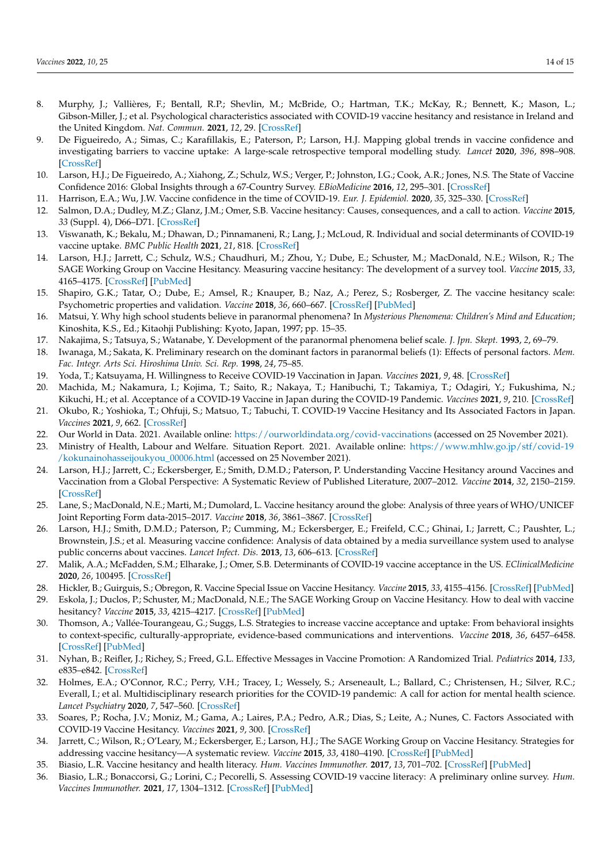- <span id="page-13-0"></span>8. Murphy, J.; Vallières, F.; Bentall, R.P.; Shevlin, M.; McBride, O.; Hartman, T.K.; McKay, R.; Bennett, K.; Mason, L.; Gibson-Miller, J.; et al. Psychological characteristics associated with COVID-19 vaccine hesitancy and resistance in Ireland and the United Kingdom. *Nat. Commun.* **2021**, *12*, 29. [\[CrossRef\]](http://doi.org/10.1038/s41467-020-20226-9)
- <span id="page-13-1"></span>9. De Figueiredo, A.; Simas, C.; Karafillakis, E.; Paterson, P.; Larson, H.J. Mapping global trends in vaccine confidence and investigating barriers to vaccine uptake: A large-scale retrospective temporal modelling study. *Lancet* **2020**, *396*, 898–908. [\[CrossRef\]](http://doi.org/10.1016/S0140-6736(20)31558-0)
- <span id="page-13-2"></span>10. Larson, H.J.; De Figueiredo, A.; Xiahong, Z.; Schulz, W.S.; Verger, P.; Johnston, I.G.; Cook, A.R.; Jones, N.S. The State of Vaccine Confidence 2016: Global Insights through a 67-Country Survey. *EBioMedicine* **2016**, *12*, 295–301. [\[CrossRef\]](http://doi.org/10.1016/j.ebiom.2016.08.042)
- <span id="page-13-3"></span>11. Harrison, E.A.; Wu, J.W. Vaccine confidence in the time of COVID-19. *Eur. J. Epidemiol.* **2020**, *35*, 325–330. [\[CrossRef\]](http://doi.org/10.1007/s10654-020-00634-3)
- <span id="page-13-15"></span>12. Salmon, D.A.; Dudley, M.Z.; Glanz, J.M.; Omer, S.B. Vaccine hesitancy: Causes, consequences, and a call to action. *Vaccine* **2015**, *33* (Suppl. 4), D66–D71. [\[CrossRef\]](http://doi.org/10.1016/j.vaccine.2015.09.035)
- <span id="page-13-4"></span>13. Viswanath, K.; Bekalu, M.; Dhawan, D.; Pinnamaneni, R.; Lang, J.; McLoud, R. Individual and social determinants of COVID-19 vaccine uptake. *BMC Public Health* **2021**, *21*, 818. [\[CrossRef\]](http://doi.org/10.1186/s12889-021-10862-1)
- <span id="page-13-5"></span>14. Larson, H.J.; Jarrett, C.; Schulz, W.S.; Chaudhuri, M.; Zhou, Y.; Dube, E.; Schuster, M.; MacDonald, N.E.; Wilson, R.; The SAGE Working Group on Vaccine Hesitancy. Measuring vaccine hesitancy: The development of a survey tool. *Vaccine* **2015**, *33*, 4165–4175. [\[CrossRef\]](http://doi.org/10.1016/j.vaccine.2015.04.037) [\[PubMed\]](http://www.ncbi.nlm.nih.gov/pubmed/25896384)
- <span id="page-13-6"></span>15. Shapiro, G.K.; Tatar, O.; Dube, E.; Amsel, R.; Knauper, B.; Naz, A.; Perez, S.; Rosberger, Z. The vaccine hesitancy scale: Psychometric properties and validation. *Vaccine* **2018**, *36*, 660–667. [\[CrossRef\]](http://doi.org/10.1016/j.vaccine.2017.12.043) [\[PubMed\]](http://www.ncbi.nlm.nih.gov/pubmed/29289384)
- <span id="page-13-7"></span>16. Matsui, Y. Why high school students believe in paranormal phenomena? In *Mysterious Phenomena: Children's Mind and Education*; Kinoshita, K.S., Ed.; Kitaohji Publishing: Kyoto, Japan, 1997; pp. 15–35.
- <span id="page-13-8"></span>17. Nakajima, S.; Tatsuya, S.; Watanabe, Y. Development of the paranormal phenomena belief scale. *J. Jpn. Skept.* **1993**, *2*, 69–79.
- <span id="page-13-9"></span>18. Iwanaga, M.; Sakata, K. Preliminary research on the dominant factors in paranormal beliefs (1): Effects of personal factors. *Mem. Fac. Integr. Arts Sci. Hiroshima Univ. Sci. Rep.* **1998**, *24*, 75–85.
- <span id="page-13-10"></span>19. Yoda, T.; Katsuyama, H. Willingness to Receive COVID-19 Vaccination in Japan. *Vaccines* **2021**, *9*, 48. [\[CrossRef\]](http://doi.org/10.3390/vaccines9010048)
- <span id="page-13-11"></span>20. Machida, M.; Nakamura, I.; Kojima, T.; Saito, R.; Nakaya, T.; Hanibuchi, T.; Takamiya, T.; Odagiri, Y.; Fukushima, N.; Kikuchi, H.; et al. Acceptance of a COVID-19 Vaccine in Japan during the COVID-19 Pandemic. *Vaccines* **2021**, *9*, 210. [\[CrossRef\]](http://doi.org/10.3390/vaccines9030210)
- <span id="page-13-12"></span>21. Okubo, R.; Yoshioka, T.; Ohfuji, S.; Matsuo, T.; Tabuchi, T. COVID-19 Vaccine Hesitancy and Its Associated Factors in Japan. *Vaccines* **2021**, *9*, 662. [\[CrossRef\]](http://doi.org/10.3390/vaccines9060662)
- <span id="page-13-13"></span>22. Our World in Data. 2021. Available online: <https://ourworldindata.org/covid-vaccinations> (accessed on 25 November 2021).
- <span id="page-13-14"></span>23. Ministry of Health, Labour and Welfare. Situation Report. 2021. Available online: [https://www.mhlw.go.jp/stf/covid-19](https://www.mhlw.go.jp/stf/covid-19/kokunainohasseijoukyou_00006.html) [/kokunainohasseijoukyou\\_00006.html](https://www.mhlw.go.jp/stf/covid-19/kokunainohasseijoukyou_00006.html) (accessed on 25 November 2021).
- 24. Larson, H.J.; Jarrett, C.; Eckersberger, E.; Smith, D.M.D.; Paterson, P. Understanding Vaccine Hesitancy around Vaccines and Vaccination from a Global Perspective: A Systematic Review of Published Literature, 2007–2012. *Vaccine* **2014**, *32*, 2150–2159. [\[CrossRef\]](http://doi.org/10.1016/j.vaccine.2014.01.081)
- 25. Lane, S.; MacDonald, N.E.; Marti, M.; Dumolard, L. Vaccine hesitancy around the globe: Analysis of three years of WHO/UNICEF Joint Reporting Form data-2015–2017. *Vaccine* **2018**, *36*, 3861–3867. [\[CrossRef\]](http://doi.org/10.1016/j.vaccine.2018.03.063)
- <span id="page-13-16"></span>26. Larson, H.J.; Smith, D.M.D.; Paterson, P.; Cumming, M.; Eckersberger, E.; Freifeld, C.C.; Ghinai, I.; Jarrett, C.; Paushter, L.; Brownstein, J.S.; et al. Measuring vaccine confidence: Analysis of data obtained by a media surveillance system used to analyse public concerns about vaccines. *Lancet Infect. Dis.* **2013**, *13*, 606–613. [\[CrossRef\]](http://doi.org/10.1016/S1473-3099(13)70108-7)
- <span id="page-13-17"></span>27. Malik, A.A.; McFadden, S.M.; Elharake, J.; Omer, S.B. Determinants of COVID-19 vaccine acceptance in the US. *EClinicalMedicine* **2020**, *26*, 100495. [\[CrossRef\]](http://doi.org/10.1016/j.eclinm.2020.100495)
- 28. Hickler, B.; Guirguis, S.; Obregon, R. Vaccine Special Issue on Vaccine Hesitancy. *Vaccine* **2015**, *33*, 4155–4156. [\[CrossRef\]](http://doi.org/10.1016/j.vaccine.2015.04.034) [\[PubMed\]](http://www.ncbi.nlm.nih.gov/pubmed/25896381)
- <span id="page-13-18"></span>29. Eskola, J.; Duclos, P.; Schuster, M.; MacDonald, N.E.; The SAGE Working Group on Vaccine Hesitancy. How to deal with vaccine hesitancy? *Vaccine* **2015**, *33*, 4215–4217. [\[CrossRef\]](http://doi.org/10.1016/j.vaccine.2015.04.043) [\[PubMed\]](http://www.ncbi.nlm.nih.gov/pubmed/25896378)
- <span id="page-13-19"></span>30. Thomson, A.; Vallée-Tourangeau, G.; Suggs, L.S. Strategies to increase vaccine acceptance and uptake: From behavioral insights to context-specific, culturally-appropriate, evidence-based communications and interventions. *Vaccine* **2018**, *36*, 6457–6458. [\[CrossRef\]](http://doi.org/10.1016/j.vaccine.2018.08.031) [\[PubMed\]](http://www.ncbi.nlm.nih.gov/pubmed/30201305)
- <span id="page-13-20"></span>31. Nyhan, B.; Reifler, J.; Richey, S.; Freed, G.L. Effective Messages in Vaccine Promotion: A Randomized Trial. *Pediatrics* **2014**, *133*, e835–e842. [\[CrossRef\]](http://doi.org/10.1542/peds.2013-2365)
- 32. Holmes, E.A.; O'Connor, R.C.; Perry, V.H.; Tracey, I.; Wessely, S.; Arseneault, L.; Ballard, C.; Christensen, H.; Silver, R.C.; Everall, I.; et al. Multidisciplinary research priorities for the COVID-19 pandemic: A call for action for mental health science. *Lancet Psychiatry* **2020**, *7*, 547–560. [\[CrossRef\]](http://doi.org/10.1016/S2215-0366(20)30168-1)
- 33. Soares, P.; Rocha, J.V.; Moniz, M.; Gama, A.; Laires, P.A.; Pedro, A.R.; Dias, S.; Leite, A.; Nunes, C. Factors Associated with COVID-19 Vaccine Hesitancy. *Vaccines* **2021**, *9*, 300. [\[CrossRef\]](http://doi.org/10.3390/vaccines9030300)
- <span id="page-13-21"></span>34. Jarrett, C.; Wilson, R.; O'Leary, M.; Eckersberger, E.; Larson, H.J.; The SAGE Working Group on Vaccine Hesitancy. Strategies for addressing vaccine hesitancy—A systematic review. *Vaccine* **2015**, *33*, 4180–4190. [\[CrossRef\]](http://doi.org/10.1016/j.vaccine.2015.04.040) [\[PubMed\]](http://www.ncbi.nlm.nih.gov/pubmed/25896377)
- <span id="page-13-22"></span>35. Biasio, L.R. Vaccine hesitancy and health literacy. *Hum. Vaccines Immunother.* **2017**, *13*, 701–702. [\[CrossRef\]](http://doi.org/10.1080/21645515.2016.1243633) [\[PubMed\]](http://www.ncbi.nlm.nih.gov/pubmed/27808587)
- <span id="page-13-23"></span>36. Biasio, L.R.; Bonaccorsi, G.; Lorini, C.; Pecorelli, S. Assessing COVID-19 vaccine literacy: A preliminary online survey. *Hum. Vaccines Immunother.* **2021**, *17*, 1304–1312. [\[CrossRef\]](http://doi.org/10.1080/21645515.2020.1829315) [\[PubMed\]](http://www.ncbi.nlm.nih.gov/pubmed/33118868)